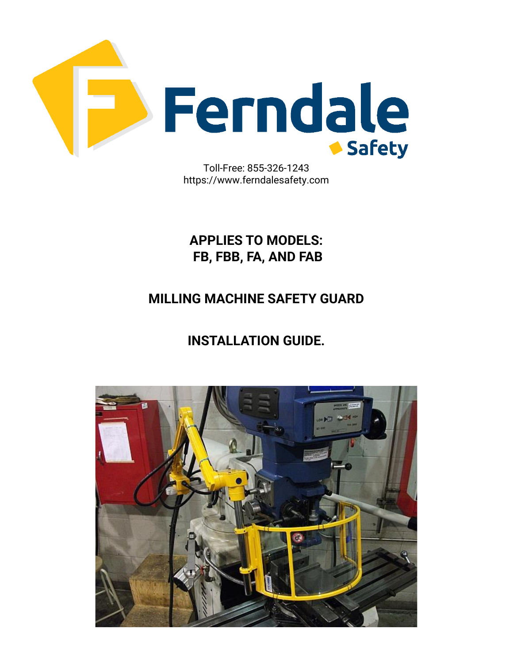

https://www.ferndalesafety.com

**APPLIES TO MODELS: FB, FBB, FA, AND FAB**

### **MILLING MACHINE SAFETY GUARD**

### **INSTALLATION GUIDE.**

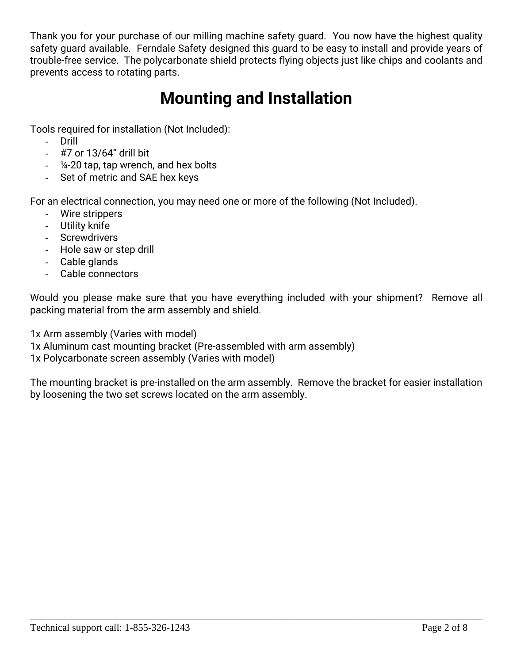Thank you for your purchase of our milling machine safety guard. You now have the highest quality safety guard available. Ferndale Safety designed this guard to be easy to install and provide years of trouble-free service. The polycarbonate shield protects flying objects just like chips and coolants and prevents access to rotating parts.

# **Mounting and Installation**

Tools required for installation (Not Included):

- Drill
- #7 or 13/64" drill bit
- ¼-20 tap, tap wrench, and hex bolts
- Set of metric and SAE hex keys

For an electrical connection, you may need one or more of the following (Not Included).

- Wire strippers
- Utility knife
- Screwdrivers
- Hole saw or step drill
- Cable glands
- Cable connectors

Would you please make sure that you have everything included with your shipment? Remove all packing material from the arm assembly and shield.

1x Arm assembly (Varies with model)

1x Aluminum cast mounting bracket (Pre-assembled with arm assembly)

1x Polycarbonate screen assembly (Varies with model)

The mounting bracket is pre-installed on the arm assembly. Remove the bracket for easier installation by loosening the two set screws located on the arm assembly.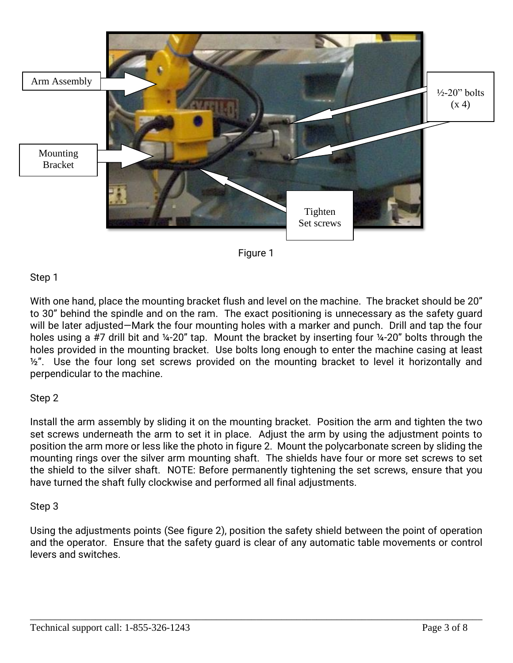



#### Step 1

With one hand, place the mounting bracket flush and level on the machine. The bracket should be 20" to 30" behind the spindle and on the ram. The exact positioning is unnecessary as the safety guard will be later adjusted—Mark the four mounting holes with a marker and punch. Drill and tap the four holes using a #7 drill bit and ¼-20" tap. Mount the bracket by inserting four ¼-20" bolts through the holes provided in the mounting bracket. Use bolts long enough to enter the machine casing at least  $\frac{1}{2}$ ". Use the four long set screws provided on the mounting bracket to level it horizontally and perpendicular to the machine.

#### Step 2

Install the arm assembly by sliding it on the mounting bracket. Position the arm and tighten the two set screws underneath the arm to set it in place. Adjust the arm by using the adjustment points to position the arm more or less like the photo in figure 2. Mount the polycarbonate screen by sliding the mounting rings over the silver arm mounting shaft. The shields have four or more set screws to set the shield to the silver shaft. NOTE: Before permanently tightening the set screws, ensure that you have turned the shaft fully clockwise and performed all final adjustments.

#### Step 3

Using the adjustments points (See figure 2), position the safety shield between the point of operation and the operator. Ensure that the safety guard is clear of any automatic table movements or control levers and switches.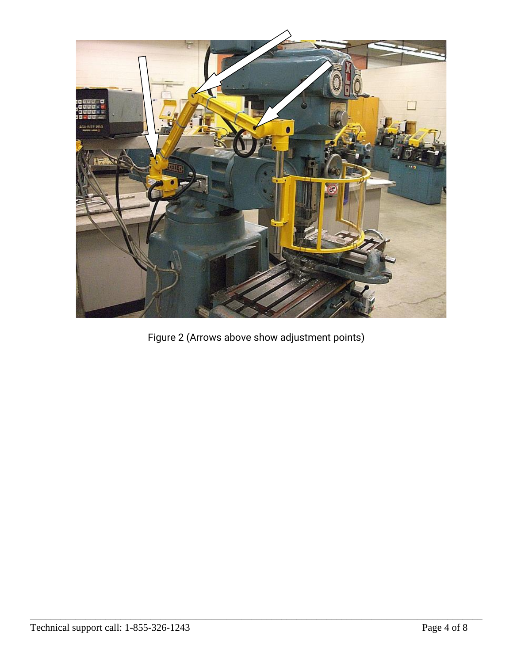

Figure 2 (Arrows above show adjustment points)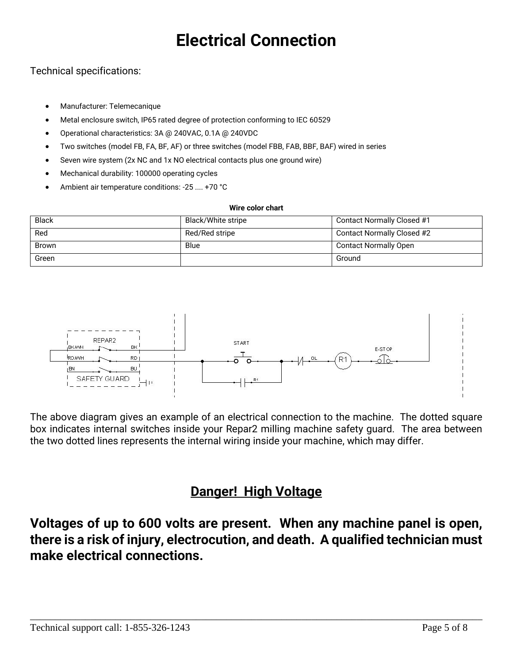# **Electrical Connection**

### Technical specifications:

- Manufacturer: Telemecanique
- Metal enclosure switch, IP65 rated degree of protection conforming to IEC 60529
- Operational characteristics: 3A @ 240VAC, 0.1A @ 240VDC
- Two switches (model FB, FA, BF, AF) or three switches (model FBB, FAB, BBF, BAF) wired in series
- Seven wire system (2x NC and 1x NO electrical contacts plus one ground wire)
- Mechanical durability: 100000 operating cycles
- Ambient air temperature conditions: -25 .... +70 °C

#### **Wire color chart**

| <b>Black</b> | Black/White stripe | Contact Normally Closed #1   |
|--------------|--------------------|------------------------------|
| Red          | Red/Red stripe     | Contact Normally Closed #2   |
| <b>Brown</b> | Blue               | <b>Contact Normally Open</b> |
| Green        |                    | Ground                       |



The above diagram gives an example of an electrical connection to the machine. The dotted square box indicates internal switches inside your Repar2 milling machine safety guard. The area between the two dotted lines represents the internal wiring inside your machine, which may differ.

### **Danger! High Voltage**

**Voltages of up to 600 volts are present. When any machine panel is open, there is a risk of injury, electrocution, and death. A qualified technician must make electrical connections.**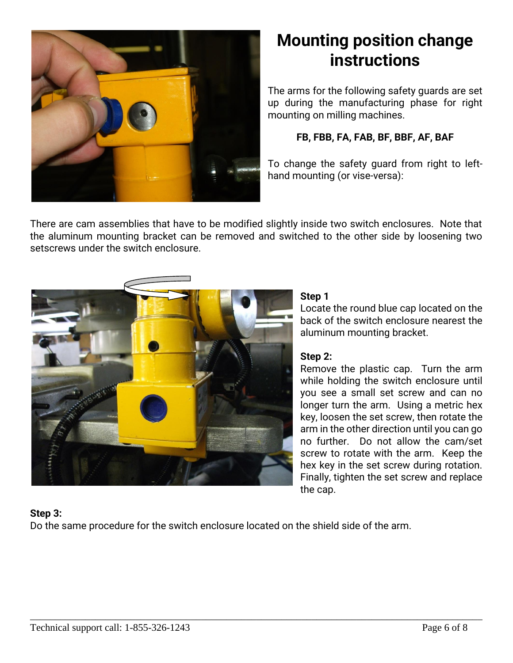

## **Mounting position change instructions**

The arms for the following safety guards are set up during the manufacturing phase for right mounting on milling machines.

### **FB, FBB, FA, FAB, BF, BBF, AF, BAF**

To change the safety guard from right to lefthand mounting (or vise-versa):

There are cam assemblies that have to be modified slightly inside two switch enclosures. Note that the aluminum mounting bracket can be removed and switched to the other side by loosening two setscrews under the switch enclosure.



#### **Step 1**

Locate the round blue cap located on the back of the switch enclosure nearest the aluminum mounting bracket.

#### **Step 2:**

Remove the plastic cap. Turn the arm while holding the switch enclosure until you see a small set screw and can no longer turn the arm. Using a metric hex key, loosen the set screw, then rotate the arm in the other direction until you can go no further. Do not allow the cam/set screw to rotate with the arm. Keep the hex key in the set screw during rotation. Finally, tighten the set screw and replace the cap.

### **Step 3:**

Do the same procedure for the switch enclosure located on the shield side of the arm.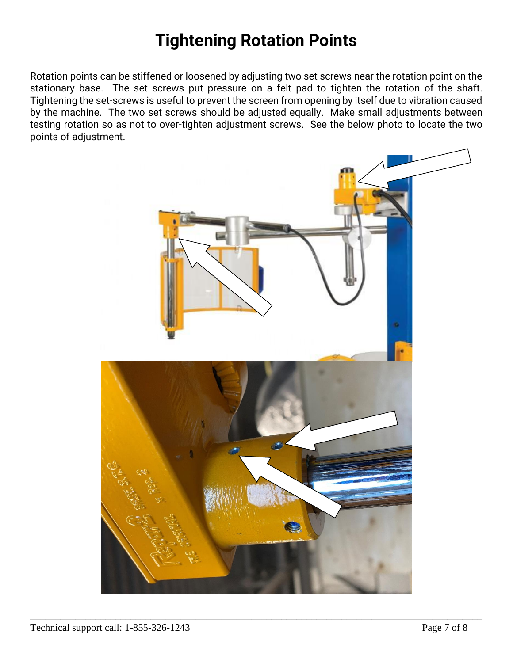### **Tightening Rotation Points**

Rotation points can be stiffened or loosened by adjusting two set screws near the rotation point on the stationary base. The set screws put pressure on a felt pad to tighten the rotation of the shaft. Tightening the set-screws is useful to prevent the screen from opening by itself due to vibration caused by the machine. The two set screws should be adjusted equally. Make small adjustments between testing rotation so as not to over-tighten adjustment screws. See the below photo to locate the two points of adjustment.